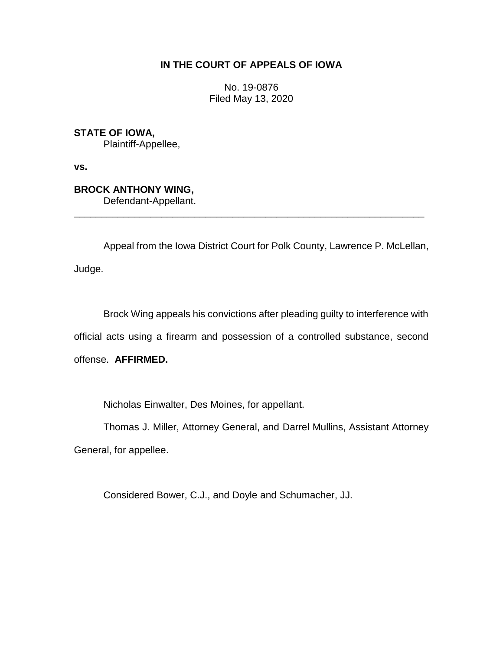## **IN THE COURT OF APPEALS OF IOWA**

No. 19-0876 Filed May 13, 2020

**STATE OF IOWA,**

Plaintiff-Appellee,

**vs.**

**BROCK ANTHONY WING,**

Defendant-Appellant.

Appeal from the Iowa District Court for Polk County, Lawrence P. McLellan, Judge.

\_\_\_\_\_\_\_\_\_\_\_\_\_\_\_\_\_\_\_\_\_\_\_\_\_\_\_\_\_\_\_\_\_\_\_\_\_\_\_\_\_\_\_\_\_\_\_\_\_\_\_\_\_\_\_\_\_\_\_\_\_\_\_\_

Brock Wing appeals his convictions after pleading guilty to interference with official acts using a firearm and possession of a controlled substance, second offense. **AFFIRMED.**

Nicholas Einwalter, Des Moines, for appellant.

Thomas J. Miller, Attorney General, and Darrel Mullins, Assistant Attorney

General, for appellee.

Considered Bower, C.J., and Doyle and Schumacher, JJ.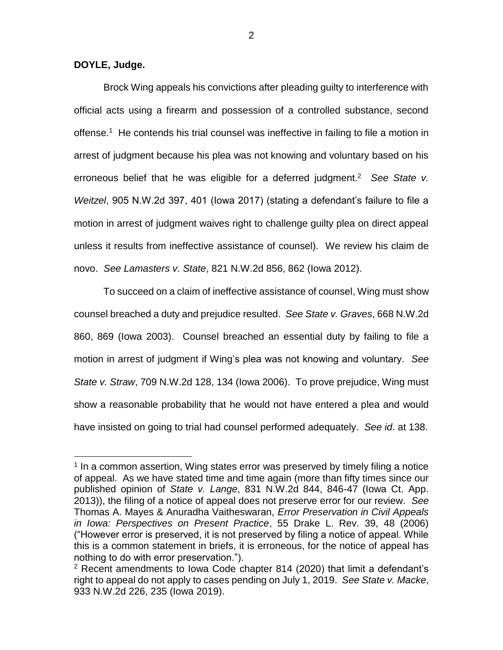**DOYLE, Judge.**

 $\overline{a}$ 

Brock Wing appeals his convictions after pleading guilty to interference with official acts using a firearm and possession of a controlled substance, second offense.<sup>1</sup> He contends his trial counsel was ineffective in failing to file a motion in arrest of judgment because his plea was not knowing and voluntary based on his erroneous belief that he was eligible for a deferred judgment.<sup>2</sup> See State v. *Weitzel*, 905 N.W.2d 397, 401 (Iowa 2017) (stating a defendant's failure to file a motion in arrest of judgment waives right to challenge guilty plea on direct appeal unless it results from ineffective assistance of counsel). We review his claim de novo. *See Lamasters v. State*, 821 N.W.2d 856, 862 (Iowa 2012).

To succeed on a claim of ineffective assistance of counsel, Wing must show counsel breached a duty and prejudice resulted. *See State v. Graves*, 668 N.W.2d 860, 869 (Iowa 2003). Counsel breached an essential duty by failing to file a motion in arrest of judgment if Wing's plea was not knowing and voluntary. *See State v. Straw*, 709 N.W.2d 128, 134 (Iowa 2006). To prove prejudice, Wing must show a reasonable probability that he would not have entered a plea and would have insisted on going to trial had counsel performed adequately. *See id*. at 138.

<sup>&</sup>lt;sup>1</sup> In a common assertion, Wing states error was preserved by timely filing a notice of appeal. As we have stated time and time again (more than fifty times since our published opinion of *State v. Lange*, 831 N.W.2d 844, 846-47 (Iowa Ct. App. 2013)), the filing of a notice of appeal does not preserve error for our review. *See* Thomas A. Mayes & Anuradha Vaitheswaran, *Error Preservation in Civil Appeals in Iowa: Perspectives on Present Practice*, 55 Drake L. Rev. 39, 48 (2006) ("However error is preserved, it is not preserved by filing a notice of appeal. While this is a common statement in briefs, it is erroneous, for the notice of appeal has nothing to do with error preservation.").

 $2$  Recent amendments to Iowa Code chapter 814 (2020) that limit a defendant's right to appeal do not apply to cases pending on July 1, 2019. *See State v. Macke*, 933 N.W.2d 226, 235 (Iowa 2019).